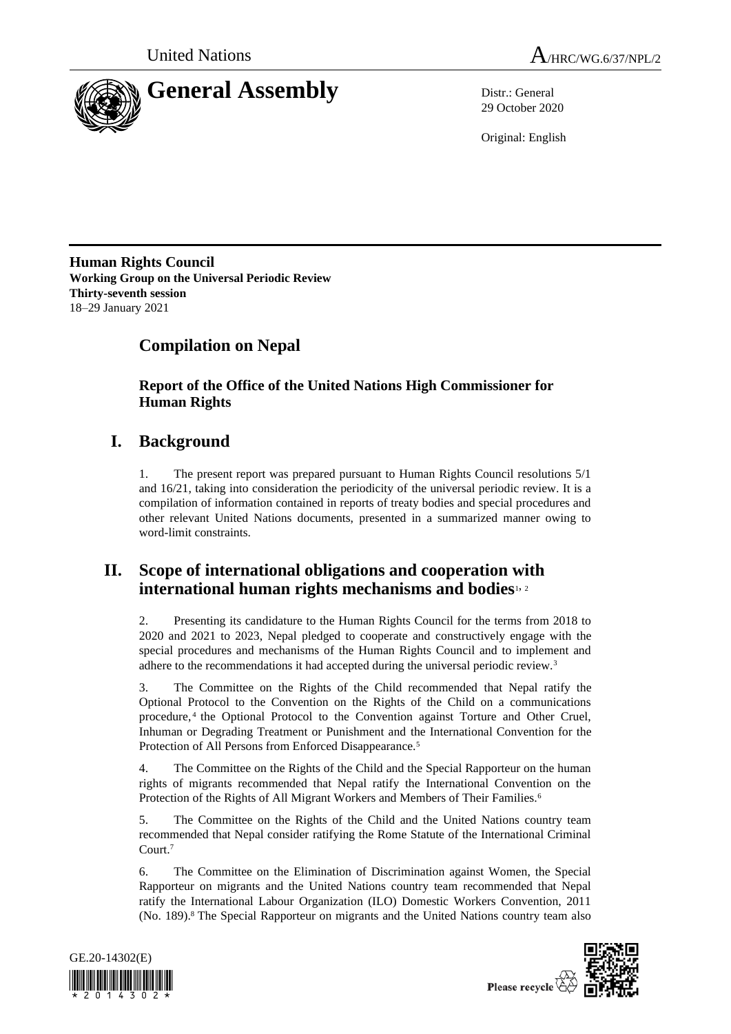



29 October 2020

Original: English

**Human Rights Council Working Group on the Universal Periodic Review Thirty-seventh session** 18–29 January 2021

# **Compilation on Nepal**

**Report of the Office of the United Nations High Commissioner for Human Rights**

# **I. Background**

1. The present report was prepared pursuant to Human Rights Council resolutions 5/1 and 16/21, taking into consideration the periodicity of the universal periodic review. It is a compilation of information contained in reports of treaty bodies and special procedures and other relevant United Nations documents, presented in a summarized manner owing to word-limit constraints.

## **II. Scope of international obligations and cooperation with international human rights mechanisms and bodies**1, <sup>2</sup>

2. Presenting its candidature to the Human Rights Council for the terms from 2018 to 2020 and 2021 to 2023, Nepal pledged to cooperate and constructively engage with the special procedures and mechanisms of the Human Rights Council and to implement and adhere to the recommendations it had accepted during the universal periodic review.<sup>3</sup>

3. The Committee on the Rights of the Child recommended that Nepal ratify the Optional Protocol to the Convention on the Rights of the Child on a communications procedure, <sup>4</sup> the Optional Protocol to the Convention against Torture and Other Cruel, Inhuman or Degrading Treatment or Punishment and the International Convention for the Protection of All Persons from Enforced Disappearance.<sup>5</sup>

4. The Committee on the Rights of the Child and the Special Rapporteur on the human rights of migrants recommended that Nepal ratify the International Convention on the Protection of the Rights of All Migrant Workers and Members of Their Families.<sup>6</sup>

5. The Committee on the Rights of the Child and the United Nations country team recommended that Nepal consider ratifying the Rome Statute of the International Criminal Court. 7

6. The Committee on the Elimination of Discrimination against Women, the Special Rapporteur on migrants and the United Nations country team recommended that Nepal ratify the International Labour Organization (ILO) Domestic Workers Convention, 2011 (No. 189).<sup>8</sup> The Special Rapporteur on migrants and the United Nations country team also



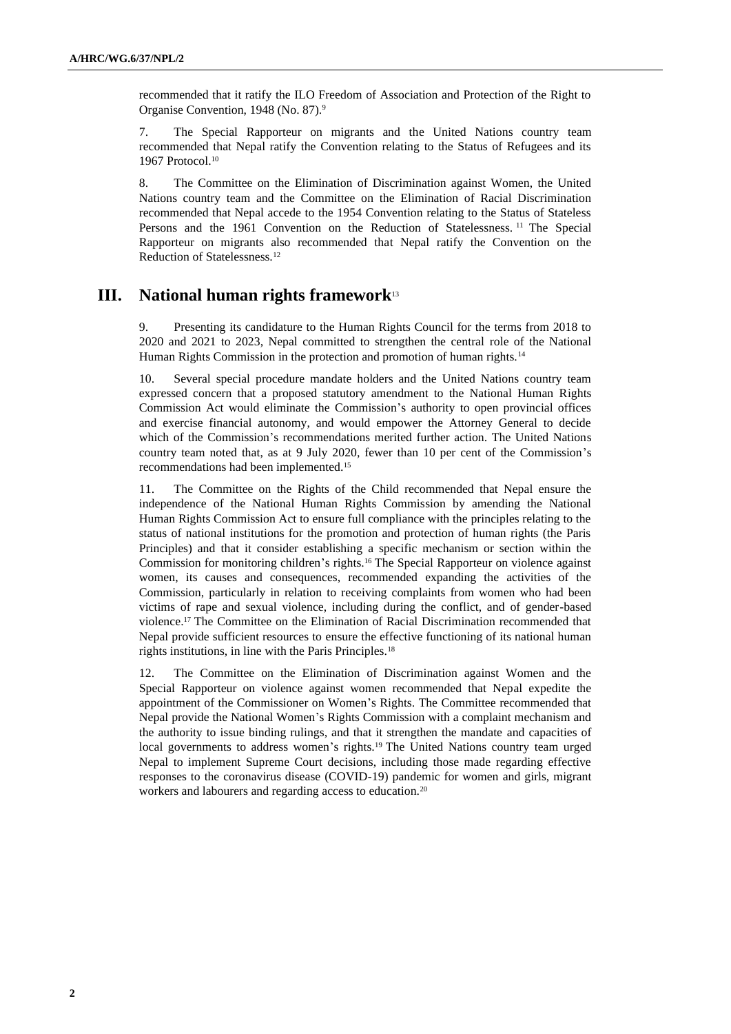recommended that it ratify the ILO Freedom of Association and Protection of the Right to Organise Convention, 1948 (No. 87).<sup>9</sup>

7. The Special Rapporteur on migrants and the United Nations country team recommended that Nepal ratify the Convention relating to the Status of Refugees and its 1967 Protocol.<sup>10</sup>

8. The Committee on the Elimination of Discrimination against Women, the United Nations country team and the Committee on the Elimination of Racial Discrimination recommended that Nepal accede to the 1954 Convention relating to the Status of Stateless Persons and the 1961 Convention on the Reduction of Statelessness.<sup>11</sup> The Special Rapporteur on migrants also recommended that Nepal ratify the Convention on the Reduction of Statelessness.<sup>12</sup>

## **III. National human rights framework**<sup>13</sup>

9. Presenting its candidature to the Human Rights Council for the terms from 2018 to 2020 and 2021 to 2023, Nepal committed to strengthen the central role of the National Human Rights Commission in the protection and promotion of human rights.<sup>14</sup>

Several special procedure mandate holders and the United Nations country team expressed concern that a proposed statutory amendment to the National Human Rights Commission Act would eliminate the Commission's authority to open provincial offices and exercise financial autonomy, and would empower the Attorney General to decide which of the Commission's recommendations merited further action. The United Nations country team noted that, as at 9 July 2020, fewer than 10 per cent of the Commission's recommendations had been implemented.<sup>15</sup>

11. The Committee on the Rights of the Child recommended that Nepal ensure the independence of the National Human Rights Commission by amending the National Human Rights Commission Act to ensure full compliance with the principles relating to the status of national institutions for the promotion and protection of human rights (the Paris Principles) and that it consider establishing a specific mechanism or section within the Commission for monitoring children's rights.<sup>16</sup> The Special Rapporteur on violence against women, its causes and consequences, recommended expanding the activities of the Commission, particularly in relation to receiving complaints from women who had been victims of rape and sexual violence, including during the conflict, and of gender-based violence.<sup>17</sup> The Committee on the Elimination of Racial Discrimination recommended that Nepal provide sufficient resources to ensure the effective functioning of its national human rights institutions, in line with the Paris Principles.<sup>18</sup>

12. The Committee on the Elimination of Discrimination against Women and the Special Rapporteur on violence against women recommended that Nepal expedite the appointment of the Commissioner on Women's Rights. The Committee recommended that Nepal provide the National Women's Rights Commission with a complaint mechanism and the authority to issue binding rulings, and that it strengthen the mandate and capacities of local governments to address women's rights.<sup>19</sup> The United Nations country team urged Nepal to implement Supreme Court decisions, including those made regarding effective responses to the coronavirus disease (COVID-19) pandemic for women and girls, migrant workers and labourers and regarding access to education.20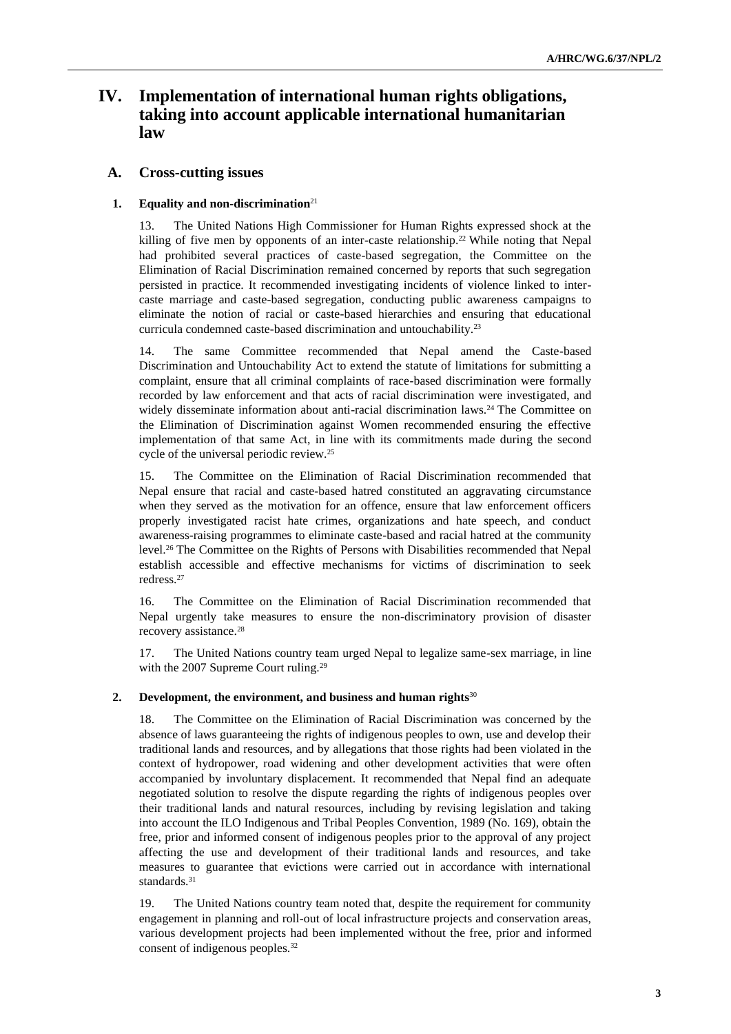## **IV. Implementation of international human rights obligations, taking into account applicable international humanitarian law**

## **A. Cross-cutting issues**

## **1. Equality and non-discrimination**<sup>21</sup>

13. The United Nations High Commissioner for Human Rights expressed shock at the killing of five men by opponents of an inter-caste relationship.<sup>22</sup> While noting that Nepal had prohibited several practices of caste-based segregation, the Committee on the Elimination of Racial Discrimination remained concerned by reports that such segregation persisted in practice. It recommended investigating incidents of violence linked to intercaste marriage and caste-based segregation, conducting public awareness campaigns to eliminate the notion of racial or caste-based hierarchies and ensuring that educational curricula condemned caste-based discrimination and untouchability.<sup>23</sup>

14. The same Committee recommended that Nepal amend the Caste-based Discrimination and Untouchability Act to extend the statute of limitations for submitting a complaint, ensure that all criminal complaints of race-based discrimination were formally recorded by law enforcement and that acts of racial discrimination were investigated, and widely disseminate information about anti-racial discrimination laws.<sup>24</sup> The Committee on the Elimination of Discrimination against Women recommended ensuring the effective implementation of that same Act, in line with its commitments made during the second cycle of the universal periodic review.<sup>25</sup>

15. The Committee on the Elimination of Racial Discrimination recommended that Nepal ensure that racial and caste-based hatred constituted an aggravating circumstance when they served as the motivation for an offence, ensure that law enforcement officers properly investigated racist hate crimes, organizations and hate speech, and conduct awareness-raising programmes to eliminate caste-based and racial hatred at the community level.<sup>26</sup> The Committee on the Rights of Persons with Disabilities recommended that Nepal establish accessible and effective mechanisms for victims of discrimination to seek redress.<sup>27</sup>

16. The Committee on the Elimination of Racial Discrimination recommended that Nepal urgently take measures to ensure the non-discriminatory provision of disaster recovery assistance.<sup>28</sup>

17. The United Nations country team urged Nepal to legalize same-sex marriage, in line with the 2007 Supreme Court ruling.<sup>29</sup>

#### **2. Development, the environment, and business and human rights**<sup>30</sup>

18. The Committee on the Elimination of Racial Discrimination was concerned by the absence of laws guaranteeing the rights of indigenous peoples to own, use and develop their traditional lands and resources, and by allegations that those rights had been violated in the context of hydropower, road widening and other development activities that were often accompanied by involuntary displacement. It recommended that Nepal find an adequate negotiated solution to resolve the dispute regarding the rights of indigenous peoples over their traditional lands and natural resources, including by revising legislation and taking into account the ILO Indigenous and Tribal Peoples Convention, 1989 (No. 169), obtain the free, prior and informed consent of indigenous peoples prior to the approval of any project affecting the use and development of their traditional lands and resources, and take measures to guarantee that evictions were carried out in accordance with international standards.<sup>31</sup>

19. The United Nations country team noted that, despite the requirement for community engagement in planning and roll-out of local infrastructure projects and conservation areas, various development projects had been implemented without the free, prior and informed consent of indigenous peoples.32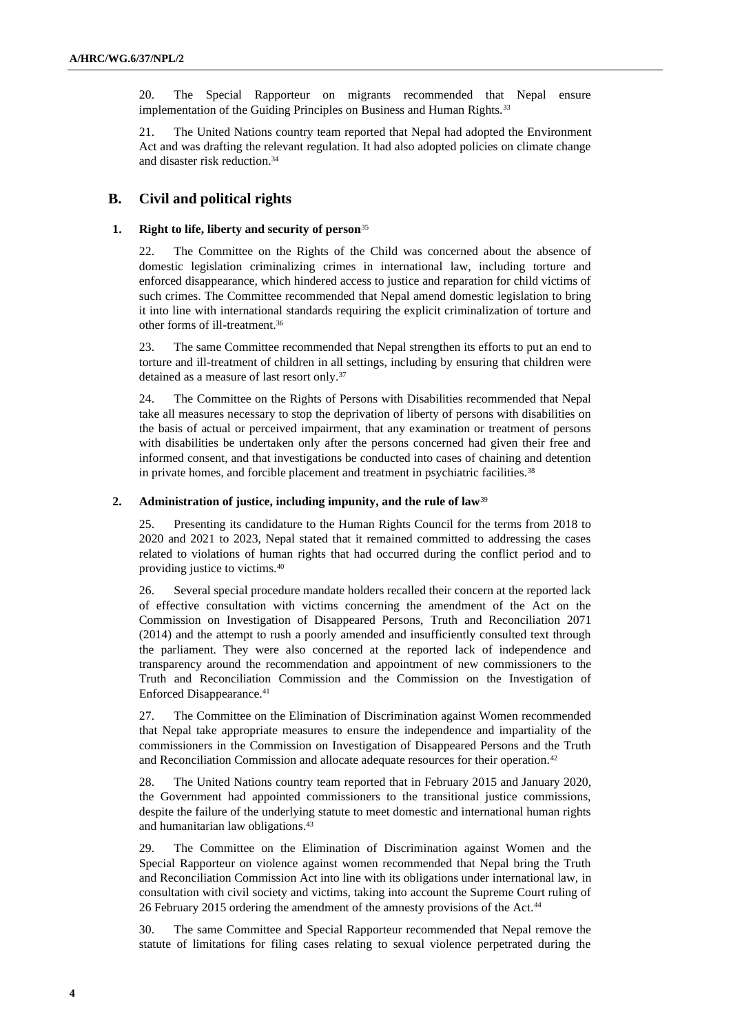20. The Special Rapporteur on migrants recommended that Nepal ensure implementation of the Guiding Principles on Business and Human Rights.<sup>33</sup>

21. The United Nations country team reported that Nepal had adopted the Environment Act and was drafting the relevant regulation. It had also adopted policies on climate change and disaster risk reduction.<sup>34</sup>

## **B. Civil and political rights**

### **1. Right to life, liberty and security of person**<sup>35</sup>

22. The Committee on the Rights of the Child was concerned about the absence of domestic legislation criminalizing crimes in international law, including torture and enforced disappearance, which hindered access to justice and reparation for child victims of such crimes. The Committee recommended that Nepal amend domestic legislation to bring it into line with international standards requiring the explicit criminalization of torture and other forms of ill-treatment.<sup>36</sup>

23. The same Committee recommended that Nepal strengthen its efforts to put an end to torture and ill-treatment of children in all settings, including by ensuring that children were detained as a measure of last resort only.<sup>37</sup>

24. The Committee on the Rights of Persons with Disabilities recommended that Nepal take all measures necessary to stop the deprivation of liberty of persons with disabilities on the basis of actual or perceived impairment, that any examination or treatment of persons with disabilities be undertaken only after the persons concerned had given their free and informed consent, and that investigations be conducted into cases of chaining and detention in private homes, and forcible placement and treatment in psychiatric facilities.<sup>38</sup>

#### **2. Administration of justice, including impunity, and the rule of law**<sup>39</sup>

25. Presenting its candidature to the Human Rights Council for the terms from 2018 to 2020 and 2021 to 2023, Nepal stated that it remained committed to addressing the cases related to violations of human rights that had occurred during the conflict period and to providing justice to victims.<sup>40</sup>

26. Several special procedure mandate holders recalled their concern at the reported lack of effective consultation with victims concerning the amendment of the Act on the Commission on Investigation of Disappeared Persons, Truth and Reconciliation 2071 (2014) and the attempt to rush a poorly amended and insufficiently consulted text through the parliament. They were also concerned at the reported lack of independence and transparency around the recommendation and appointment of new commissioners to the Truth and Reconciliation Commission and the Commission on the Investigation of Enforced Disappearance.<sup>41</sup>

27. The Committee on the Elimination of Discrimination against Women recommended that Nepal take appropriate measures to ensure the independence and impartiality of the commissioners in the Commission on Investigation of Disappeared Persons and the Truth and Reconciliation Commission and allocate adequate resources for their operation.<sup>42</sup>

28. The United Nations country team reported that in February 2015 and January 2020, the Government had appointed commissioners to the transitional justice commissions, despite the failure of the underlying statute to meet domestic and international human rights and humanitarian law obligations.<sup>43</sup>

29. The Committee on the Elimination of Discrimination against Women and the Special Rapporteur on violence against women recommended that Nepal bring the Truth and Reconciliation Commission Act into line with its obligations under international law, in consultation with civil society and victims, taking into account the Supreme Court ruling of 26 February 2015 ordering the amendment of the amnesty provisions of the Act.<sup>44</sup>

30. The same Committee and Special Rapporteur recommended that Nepal remove the statute of limitations for filing cases relating to sexual violence perpetrated during the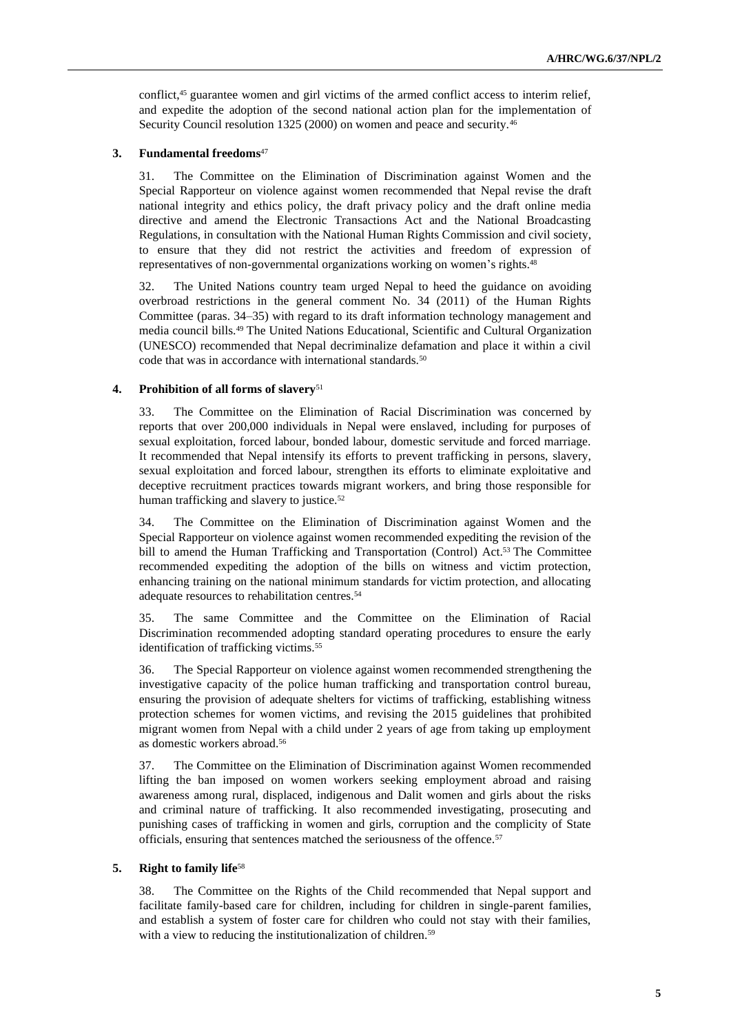conflict,<sup>45</sup> guarantee women and girl victims of the armed conflict access to interim relief, and expedite the adoption of the second national action plan for the implementation of Security Council resolution 1325 (2000) on women and peace and security.<sup>46</sup>

### **3. Fundamental freedoms**<sup>47</sup>

31. The Committee on the Elimination of Discrimination against Women and the Special Rapporteur on violence against women recommended that Nepal revise the draft national integrity and ethics policy, the draft privacy policy and the draft online media directive and amend the Electronic Transactions Act and the National Broadcasting Regulations, in consultation with the National Human Rights Commission and civil society, to ensure that they did not restrict the activities and freedom of expression of representatives of non-governmental organizations working on women's rights.<sup>48</sup>

32. The United Nations country team urged Nepal to heed the guidance on avoiding overbroad restrictions in the general comment No. 34 (2011) of the Human Rights Committee (paras. 34–35) with regard to its draft information technology management and media council bills.<sup>49</sup> The United Nations Educational, Scientific and Cultural Organization (UNESCO) recommended that Nepal decriminalize defamation and place it within a civil code that was in accordance with international standards.<sup>50</sup>

#### **4. Prohibition of all forms of slavery**<sup>51</sup>

33. The Committee on the Elimination of Racial Discrimination was concerned by reports that over 200,000 individuals in Nepal were enslaved, including for purposes of sexual exploitation, forced labour, bonded labour, domestic servitude and forced marriage. It recommended that Nepal intensify its efforts to prevent trafficking in persons, slavery, sexual exploitation and forced labour, strengthen its efforts to eliminate exploitative and deceptive recruitment practices towards migrant workers, and bring those responsible for human trafficking and slavery to justice.<sup>52</sup>

34. The Committee on the Elimination of Discrimination against Women and the Special Rapporteur on violence against women recommended expediting the revision of the bill to amend the Human Trafficking and Transportation (Control) Act.<sup>53</sup> The Committee recommended expediting the adoption of the bills on witness and victim protection, enhancing training on the national minimum standards for victim protection, and allocating adequate resources to rehabilitation centres.<sup>54</sup>

35. The same Committee and the Committee on the Elimination of Racial Discrimination recommended adopting standard operating procedures to ensure the early identification of trafficking victims.<sup>55</sup>

36. The Special Rapporteur on violence against women recommended strengthening the investigative capacity of the police human trafficking and transportation control bureau, ensuring the provision of adequate shelters for victims of trafficking, establishing witness protection schemes for women victims, and revising the 2015 guidelines that prohibited migrant women from Nepal with a child under 2 years of age from taking up employment as domestic workers abroad.<sup>56</sup>

37. The Committee on the Elimination of Discrimination against Women recommended lifting the ban imposed on women workers seeking employment abroad and raising awareness among rural, displaced, indigenous and Dalit women and girls about the risks and criminal nature of trafficking. It also recommended investigating, prosecuting and punishing cases of trafficking in women and girls, corruption and the complicity of State officials, ensuring that sentences matched the seriousness of the offence.<sup>57</sup>

## **5. Right to family life**<sup>58</sup>

38. The Committee on the Rights of the Child recommended that Nepal support and facilitate family-based care for children, including for children in single-parent families, and establish a system of foster care for children who could not stay with their families, with a view to reducing the institutionalization of children.<sup>59</sup>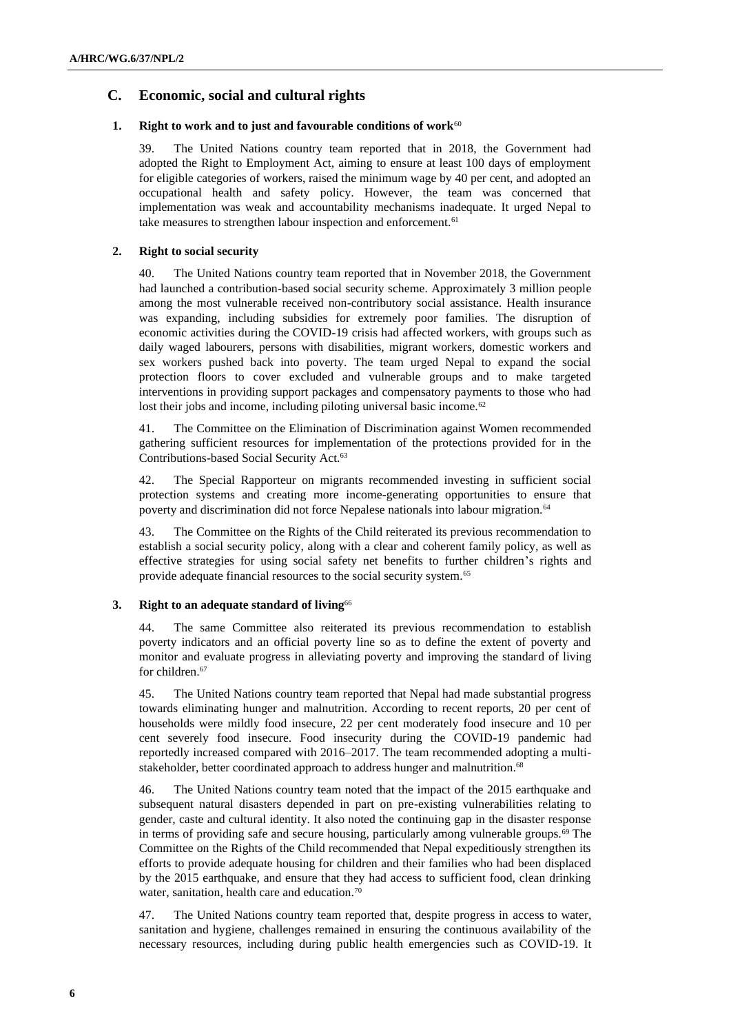## **C. Economic, social and cultural rights**

## **1. Right to work and to just and favourable conditions of work<sup>60</sup>**

39. The United Nations country team reported that in 2018, the Government had adopted the Right to Employment Act, aiming to ensure at least 100 days of employment for eligible categories of workers, raised the minimum wage by 40 per cent, and adopted an occupational health and safety policy. However, the team was concerned that implementation was weak and accountability mechanisms inadequate. It urged Nepal to take measures to strengthen labour inspection and enforcement.<sup>61</sup>

## **2. Right to social security**

40. The United Nations country team reported that in November 2018, the Government had launched a contribution-based social security scheme. Approximately 3 million people among the most vulnerable received non-contributory social assistance. Health insurance was expanding, including subsidies for extremely poor families. The disruption of economic activities during the COVID-19 crisis had affected workers, with groups such as daily waged labourers, persons with disabilities, migrant workers, domestic workers and sex workers pushed back into poverty. The team urged Nepal to expand the social protection floors to cover excluded and vulnerable groups and to make targeted interventions in providing support packages and compensatory payments to those who had lost their jobs and income, including piloting universal basic income.<sup>62</sup>

41. The Committee on the Elimination of Discrimination against Women recommended gathering sufficient resources for implementation of the protections provided for in the Contributions-based Social Security Act.<sup>63</sup>

42. The Special Rapporteur on migrants recommended investing in sufficient social protection systems and creating more income-generating opportunities to ensure that poverty and discrimination did not force Nepalese nationals into labour migration.<sup>64</sup>

43. The Committee on the Rights of the Child reiterated its previous recommendation to establish a social security policy, along with a clear and coherent family policy, as well as effective strategies for using social safety net benefits to further children's rights and provide adequate financial resources to the social security system.<sup>65</sup>

## **3. Right to an adequate standard of living**<sup>66</sup>

44. The same Committee also reiterated its previous recommendation to establish poverty indicators and an official poverty line so as to define the extent of poverty and monitor and evaluate progress in alleviating poverty and improving the standard of living for children.<sup>67</sup>

45. The United Nations country team reported that Nepal had made substantial progress towards eliminating hunger and malnutrition. According to recent reports, 20 per cent of households were mildly food insecure, 22 per cent moderately food insecure and 10 per cent severely food insecure. Food insecurity during the COVID-19 pandemic had reportedly increased compared with 2016–2017. The team recommended adopting a multistakeholder, better coordinated approach to address hunger and malnutrition.<sup>68</sup>

46. The United Nations country team noted that the impact of the 2015 earthquake and subsequent natural disasters depended in part on pre-existing vulnerabilities relating to gender, caste and cultural identity. It also noted the continuing gap in the disaster response in terms of providing safe and secure housing, particularly among vulnerable groups.<sup>69</sup> The Committee on the Rights of the Child recommended that Nepal expeditiously strengthen its efforts to provide adequate housing for children and their families who had been displaced by the 2015 earthquake, and ensure that they had access to sufficient food, clean drinking water, sanitation, health care and education.<sup>70</sup>

47. The United Nations country team reported that, despite progress in access to water, sanitation and hygiene, challenges remained in ensuring the continuous availability of the necessary resources, including during public health emergencies such as COVID-19. It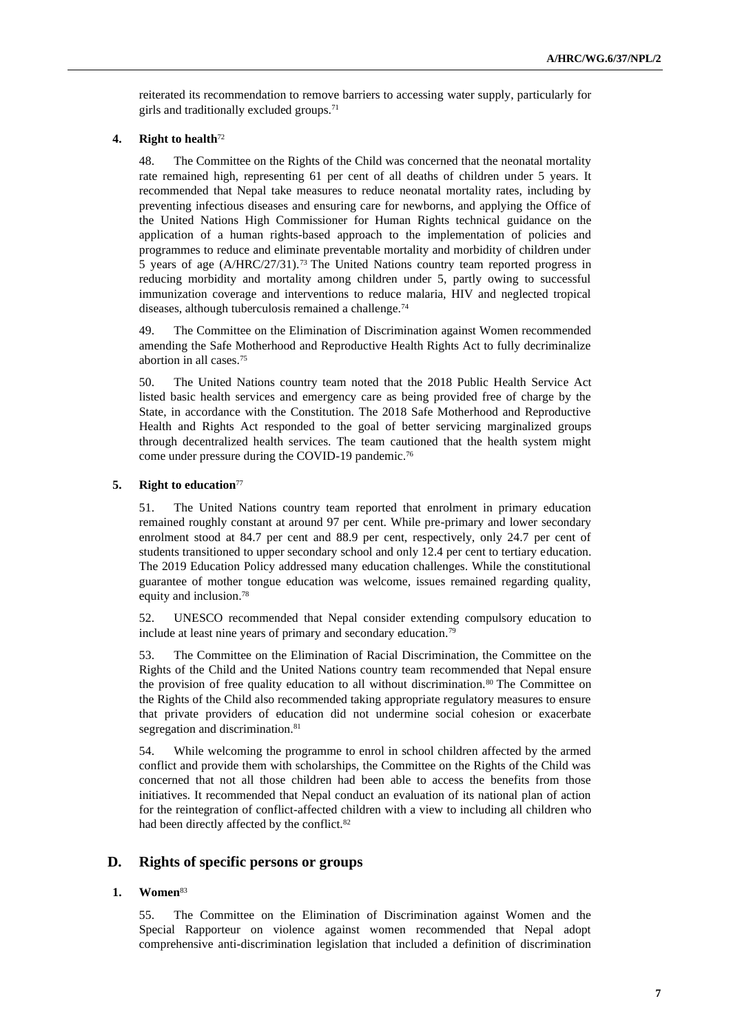reiterated its recommendation to remove barriers to accessing water supply, particularly for girls and traditionally excluded groups.<sup>71</sup>

#### **4. Right to health**<sup>72</sup>

48. The Committee on the Rights of the Child was concerned that the neonatal mortality rate remained high, representing 61 per cent of all deaths of children under 5 years. It recommended that Nepal take measures to reduce neonatal mortality rates, including by preventing infectious diseases and ensuring care for newborns, and applying the Office of the United Nations High Commissioner for Human Rights technical guidance on the application of a human rights-based approach to the implementation of policies and programmes to reduce and eliminate preventable mortality and morbidity of children under 5 years of age (A/HRC/27/31).<sup>73</sup> The United Nations country team reported progress in reducing morbidity and mortality among children under 5, partly owing to successful immunization coverage and interventions to reduce malaria, HIV and neglected tropical diseases, although tuberculosis remained a challenge.<sup>74</sup>

49. The Committee on the Elimination of Discrimination against Women recommended amending the Safe Motherhood and Reproductive Health Rights Act to fully decriminalize abortion in all cases.<sup>75</sup>

50. The United Nations country team noted that the 2018 Public Health Service Act listed basic health services and emergency care as being provided free of charge by the State, in accordance with the Constitution. The 2018 Safe Motherhood and Reproductive Health and Rights Act responded to the goal of better servicing marginalized groups through decentralized health services. The team cautioned that the health system might come under pressure during the COVID-19 pandemic.<sup>76</sup>

#### **5. Right to education**<sup>77</sup>

51. The United Nations country team reported that enrolment in primary education remained roughly constant at around 97 per cent. While pre-primary and lower secondary enrolment stood at 84.7 per cent and 88.9 per cent, respectively, only 24.7 per cent of students transitioned to upper secondary school and only 12.4 per cent to tertiary education. The 2019 Education Policy addressed many education challenges. While the constitutional guarantee of mother tongue education was welcome, issues remained regarding quality, equity and inclusion.<sup>78</sup>

52. UNESCO recommended that Nepal consider extending compulsory education to include at least nine years of primary and secondary education.<sup>79</sup>

53. The Committee on the Elimination of Racial Discrimination, the Committee on the Rights of the Child and the United Nations country team recommended that Nepal ensure the provision of free quality education to all without discrimination.<sup>80</sup> The Committee on the Rights of the Child also recommended taking appropriate regulatory measures to ensure that private providers of education did not undermine social cohesion or exacerbate segregation and discrimination.<sup>81</sup>

54. While welcoming the programme to enrol in school children affected by the armed conflict and provide them with scholarships, the Committee on the Rights of the Child was concerned that not all those children had been able to access the benefits from those initiatives. It recommended that Nepal conduct an evaluation of its national plan of action for the reintegration of conflict-affected children with a view to including all children who had been directly affected by the conflict.<sup>82</sup>

## **D. Rights of specific persons or groups**

## **1. Women**<sup>83</sup>

55. The Committee on the Elimination of Discrimination against Women and the Special Rapporteur on violence against women recommended that Nepal adopt comprehensive anti-discrimination legislation that included a definition of discrimination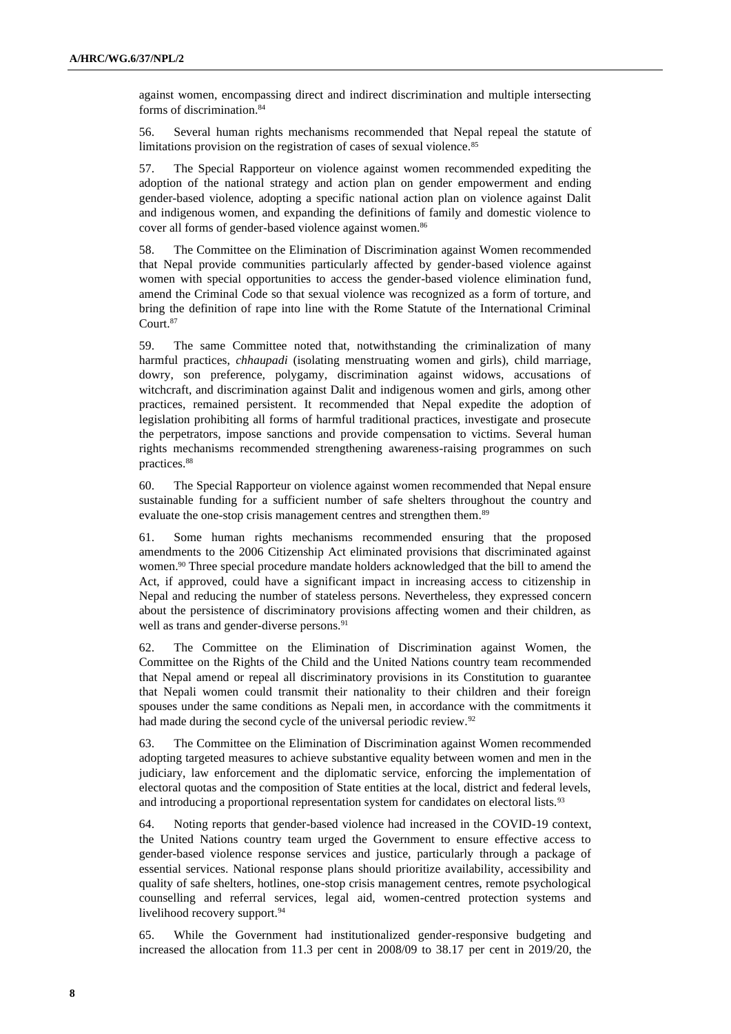against women, encompassing direct and indirect discrimination and multiple intersecting forms of discrimination.<sup>84</sup>

56. Several human rights mechanisms recommended that Nepal repeal the statute of limitations provision on the registration of cases of sexual violence.<sup>85</sup>

57. The Special Rapporteur on violence against women recommended expediting the adoption of the national strategy and action plan on gender empowerment and ending gender-based violence, adopting a specific national action plan on violence against Dalit and indigenous women, and expanding the definitions of family and domestic violence to cover all forms of gender-based violence against women.<sup>86</sup>

58. The Committee on the Elimination of Discrimination against Women recommended that Nepal provide communities particularly affected by gender-based violence against women with special opportunities to access the gender-based violence elimination fund, amend the Criminal Code so that sexual violence was recognized as a form of torture, and bring the definition of rape into line with the Rome Statute of the International Criminal Court.<sup>87</sup>

59. The same Committee noted that, notwithstanding the criminalization of many harmful practices, *chhaupadi* (isolating menstruating women and girls), child marriage, dowry, son preference, polygamy, discrimination against widows, accusations of witchcraft, and discrimination against Dalit and indigenous women and girls, among other practices, remained persistent. It recommended that Nepal expedite the adoption of legislation prohibiting all forms of harmful traditional practices, investigate and prosecute the perpetrators, impose sanctions and provide compensation to victims. Several human rights mechanisms recommended strengthening awareness-raising programmes on such practices.<sup>88</sup>

60. The Special Rapporteur on violence against women recommended that Nepal ensure sustainable funding for a sufficient number of safe shelters throughout the country and evaluate the one-stop crisis management centres and strengthen them.<sup>89</sup>

61. Some human rights mechanisms recommended ensuring that the proposed amendments to the 2006 Citizenship Act eliminated provisions that discriminated against women.<sup>90</sup> Three special procedure mandate holders acknowledged that the bill to amend the Act, if approved, could have a significant impact in increasing access to citizenship in Nepal and reducing the number of stateless persons. Nevertheless, they expressed concern about the persistence of discriminatory provisions affecting women and their children, as well as trans and gender-diverse persons.<sup>91</sup>

62. The Committee on the Elimination of Discrimination against Women, the Committee on the Rights of the Child and the United Nations country team recommended that Nepal amend or repeal all discriminatory provisions in its Constitution to guarantee that Nepali women could transmit their nationality to their children and their foreign spouses under the same conditions as Nepali men, in accordance with the commitments it had made during the second cycle of the universal periodic review.<sup>92</sup>

63. The Committee on the Elimination of Discrimination against Women recommended adopting targeted measures to achieve substantive equality between women and men in the judiciary, law enforcement and the diplomatic service, enforcing the implementation of electoral quotas and the composition of State entities at the local, district and federal levels, and introducing a proportional representation system for candidates on electoral lists.<sup>93</sup>

64. Noting reports that gender-based violence had increased in the COVID-19 context, the United Nations country team urged the Government to ensure effective access to gender-based violence response services and justice, particularly through a package of essential services. National response plans should prioritize availability, accessibility and quality of safe shelters, hotlines, one-stop crisis management centres, remote psychological counselling and referral services, legal aid, women-centred protection systems and livelihood recovery support.<sup>94</sup>

65. While the Government had institutionalized gender-responsive budgeting and increased the allocation from 11.3 per cent in 2008/09 to 38.17 per cent in 2019/20, the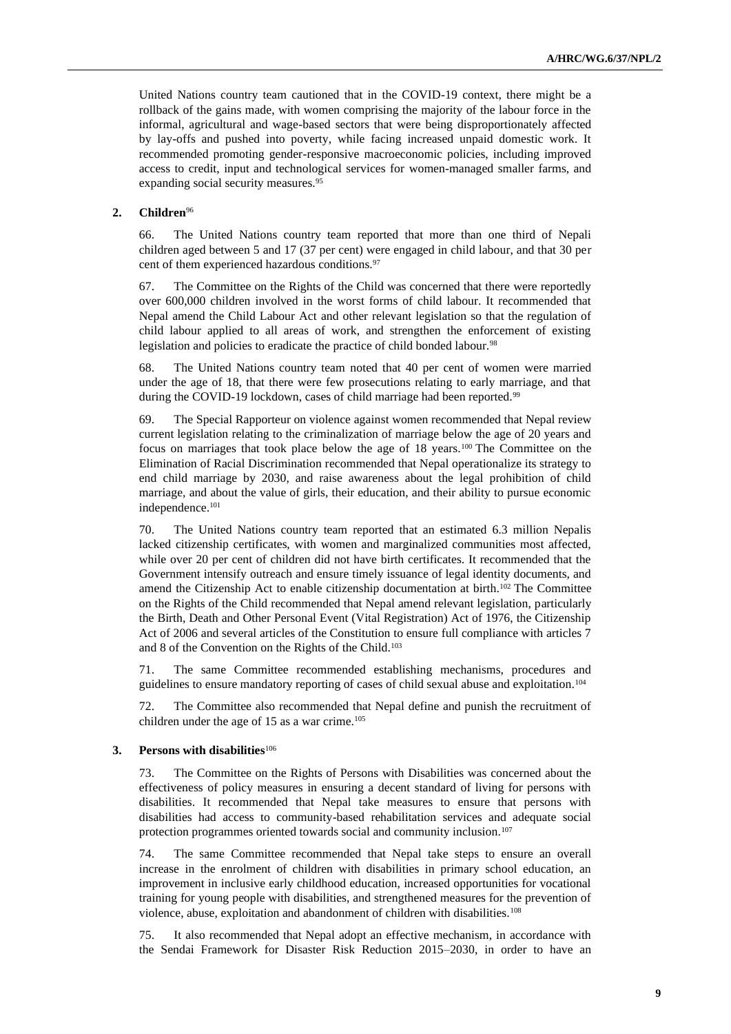United Nations country team cautioned that in the COVID-19 context, there might be a rollback of the gains made, with women comprising the majority of the labour force in the informal, agricultural and wage-based sectors that were being disproportionately affected by lay-offs and pushed into poverty, while facing increased unpaid domestic work. It recommended promoting gender-responsive macroeconomic policies, including improved access to credit, input and technological services for women-managed smaller farms, and expanding social security measures.<sup>95</sup>

## **2. Children**<sup>96</sup>

66. The United Nations country team reported that more than one third of Nepali children aged between 5 and 17 (37 per cent) were engaged in child labour, and that 30 per cent of them experienced hazardous conditions.<sup>97</sup>

67. The Committee on the Rights of the Child was concerned that there were reportedly over 600,000 children involved in the worst forms of child labour. It recommended that Nepal amend the Child Labour Act and other relevant legislation so that the regulation of child labour applied to all areas of work, and strengthen the enforcement of existing legislation and policies to eradicate the practice of child bonded labour.<sup>98</sup>

68. The United Nations country team noted that 40 per cent of women were married under the age of 18, that there were few prosecutions relating to early marriage, and that during the COVID-19 lockdown, cases of child marriage had been reported.<sup>99</sup>

69. The Special Rapporteur on violence against women recommended that Nepal review current legislation relating to the criminalization of marriage below the age of 20 years and focus on marriages that took place below the age of 18 years.<sup>100</sup> The Committee on the Elimination of Racial Discrimination recommended that Nepal operationalize its strategy to end child marriage by 2030, and raise awareness about the legal prohibition of child marriage, and about the value of girls, their education, and their ability to pursue economic independence.<sup>101</sup>

70. The United Nations country team reported that an estimated 6.3 million Nepalis lacked citizenship certificates, with women and marginalized communities most affected, while over 20 per cent of children did not have birth certificates. It recommended that the Government intensify outreach and ensure timely issuance of legal identity documents, and amend the Citizenship Act to enable citizenship documentation at birth.<sup>102</sup> The Committee on the Rights of the Child recommended that Nepal amend relevant legislation, particularly the Birth, Death and Other Personal Event (Vital Registration) Act of 1976, the Citizenship Act of 2006 and several articles of the Constitution to ensure full compliance with articles 7 and 8 of the Convention on the Rights of the Child.<sup>103</sup>

71. The same Committee recommended establishing mechanisms, procedures and guidelines to ensure mandatory reporting of cases of child sexual abuse and exploitation.<sup>104</sup>

72. The Committee also recommended that Nepal define and punish the recruitment of children under the age of 15 as a war crime.<sup>105</sup>

#### **3. Persons with disabilities**<sup>106</sup>

73. The Committee on the Rights of Persons with Disabilities was concerned about the effectiveness of policy measures in ensuring a decent standard of living for persons with disabilities. It recommended that Nepal take measures to ensure that persons with disabilities had access to community-based rehabilitation services and adequate social protection programmes oriented towards social and community inclusion.<sup>107</sup>

74. The same Committee recommended that Nepal take steps to ensure an overall increase in the enrolment of children with disabilities in primary school education, an improvement in inclusive early childhood education, increased opportunities for vocational training for young people with disabilities, and strengthened measures for the prevention of violence, abuse, exploitation and abandonment of children with disabilities.<sup>108</sup>

75. It also recommended that Nepal adopt an effective mechanism, in accordance with the Sendai Framework for Disaster Risk Reduction 2015–2030, in order to have an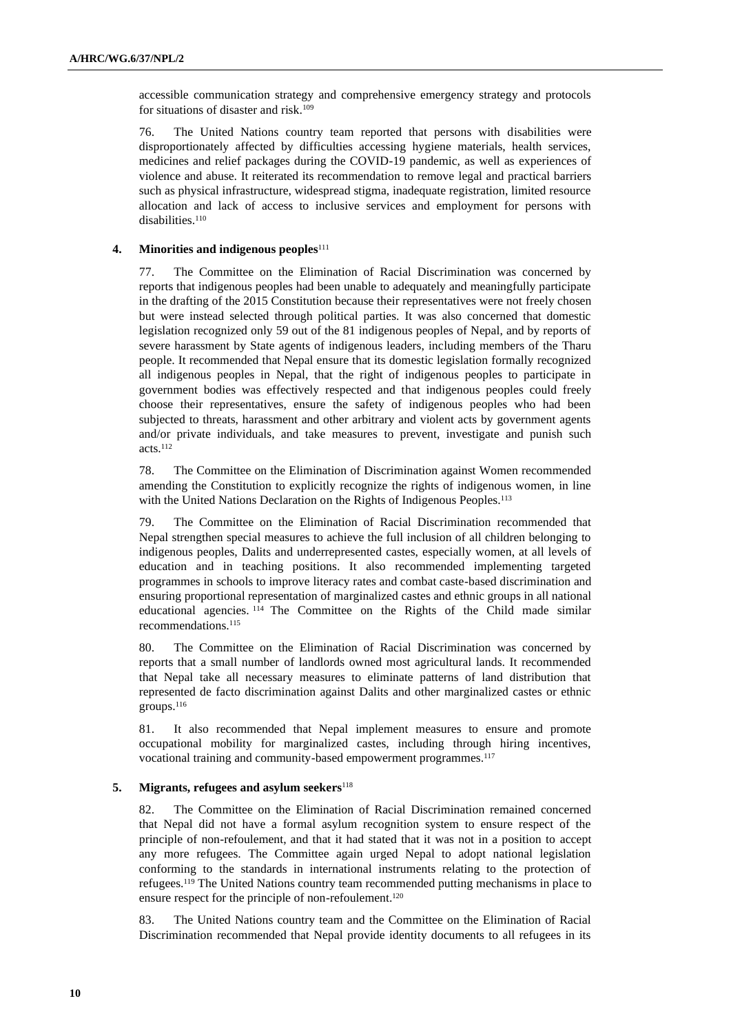accessible communication strategy and comprehensive emergency strategy and protocols for situations of disaster and risk.<sup>109</sup>

76. The United Nations country team reported that persons with disabilities were disproportionately affected by difficulties accessing hygiene materials, health services, medicines and relief packages during the COVID-19 pandemic, as well as experiences of violence and abuse. It reiterated its recommendation to remove legal and practical barriers such as physical infrastructure, widespread stigma, inadequate registration, limited resource allocation and lack of access to inclusive services and employment for persons with disabilities.<sup>110</sup>

### **4. Minorities and indigenous peoples**<sup>111</sup>

77. The Committee on the Elimination of Racial Discrimination was concerned by reports that indigenous peoples had been unable to adequately and meaningfully participate in the drafting of the 2015 Constitution because their representatives were not freely chosen but were instead selected through political parties. It was also concerned that domestic legislation recognized only 59 out of the 81 indigenous peoples of Nepal, and by reports of severe harassment by State agents of indigenous leaders, including members of the Tharu people. It recommended that Nepal ensure that its domestic legislation formally recognized all indigenous peoples in Nepal, that the right of indigenous peoples to participate in government bodies was effectively respected and that indigenous peoples could freely choose their representatives, ensure the safety of indigenous peoples who had been subjected to threats, harassment and other arbitrary and violent acts by government agents and/or private individuals, and take measures to prevent, investigate and punish such acts.<sup>112</sup>

78. The Committee on the Elimination of Discrimination against Women recommended amending the Constitution to explicitly recognize the rights of indigenous women, in line with the United Nations Declaration on the Rights of Indigenous Peoples.<sup>113</sup>

79. The Committee on the Elimination of Racial Discrimination recommended that Nepal strengthen special measures to achieve the full inclusion of all children belonging to indigenous peoples, Dalits and underrepresented castes, especially women, at all levels of education and in teaching positions. It also recommended implementing targeted programmes in schools to improve literacy rates and combat caste-based discrimination and ensuring proportional representation of marginalized castes and ethnic groups in all national educational agencies. <sup>114</sup> The Committee on the Rights of the Child made similar recommendations.<sup>115</sup>

80. The Committee on the Elimination of Racial Discrimination was concerned by reports that a small number of landlords owned most agricultural lands. It recommended that Nepal take all necessary measures to eliminate patterns of land distribution that represented de facto discrimination against Dalits and other marginalized castes or ethnic groups.<sup>116</sup>

81. It also recommended that Nepal implement measures to ensure and promote occupational mobility for marginalized castes, including through hiring incentives, vocational training and community-based empowerment programmes.<sup>117</sup>

### **5. Migrants, refugees and asylum seekers**<sup>118</sup>

82. The Committee on the Elimination of Racial Discrimination remained concerned that Nepal did not have a formal asylum recognition system to ensure respect of the principle of non-refoulement, and that it had stated that it was not in a position to accept any more refugees. The Committee again urged Nepal to adopt national legislation conforming to the standards in international instruments relating to the protection of refugees.<sup>119</sup> The United Nations country team recommended putting mechanisms in place to ensure respect for the principle of non-refoulement.<sup>120</sup>

83. The United Nations country team and the Committee on the Elimination of Racial Discrimination recommended that Nepal provide identity documents to all refugees in its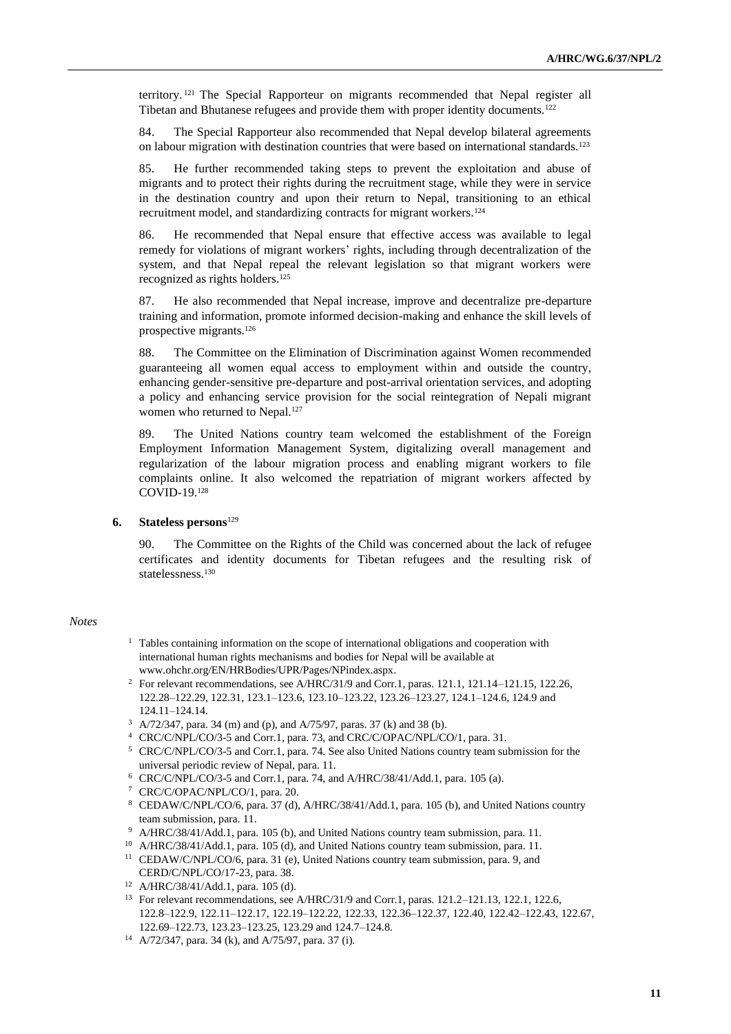territory. <sup>121</sup> The Special Rapporteur on migrants recommended that Nepal register all Tibetan and Bhutanese refugees and provide them with proper identity documents.<sup>122</sup>

84. The Special Rapporteur also recommended that Nepal develop bilateral agreements on labour migration with destination countries that were based on international standards.<sup>123</sup>

85. He further recommended taking steps to prevent the exploitation and abuse of migrants and to protect their rights during the recruitment stage, while they were in service in the destination country and upon their return to Nepal, transitioning to an ethical recruitment model, and standardizing contracts for migrant workers.<sup>124</sup>

86. He recommended that Nepal ensure that effective access was available to legal remedy for violations of migrant workers' rights, including through decentralization of the system, and that Nepal repeal the relevant legislation so that migrant workers were recognized as rights holders.<sup>125</sup>

87. He also recommended that Nepal increase, improve and decentralize pre-departure training and information, promote informed decision-making and enhance the skill levels of prospective migrants.<sup>126</sup>

88. The Committee on the Elimination of Discrimination against Women recommended guaranteeing all women equal access to employment within and outside the country, enhancing gender-sensitive pre-departure and post-arrival orientation services, and adopting a policy and enhancing service provision for the social reintegration of Nepali migrant women who returned to Nepal.<sup>127</sup>

89. The United Nations country team welcomed the establishment of the Foreign Employment Information Management System, digitalizing overall management and regularization of the labour migration process and enabling migrant workers to file complaints online. It also welcomed the repatriation of migrant workers affected by COVID-19.<sup>128</sup>

#### **6. Stateless persons**<sup>129</sup>

90. The Committee on the Rights of the Child was concerned about the lack of refugee certificates and identity documents for Tibetan refugees and the resulting risk of statelessness.<sup>130</sup>

#### *Notes*

- <sup>1</sup> Tables containing information on the scope of international obligations and cooperation with international human rights mechanisms and bodies for Nepal will be available at [www.ohchr.org/EN/HRBodies/UPR/Pages/NPindex.aspx.](file:///C:/Users/Fletcher/Downloads/www.ohchr.org/EN/HRBodies/UPR/Pages/NPindex.aspx)
- <sup>2</sup> For relevant recommendations, see A/HRC/31/9 and Corr.1, paras. 121.1, 121.14–121.15, 122.26, 122.28–122.29, 122.31, 123.1–123.6, 123.10–123.22, 123.26–123.27, 124.1–124.6, 124.9 and 124.11–124.14.
- <sup>3</sup> A/72/347, para. 34 (m) and (p), and A/75/97, paras. 37 (k) and 38 (b).
- <sup>4</sup> CRC/C/NPL/CO/3-5 and Corr.1, para. 73, and CRC/C/OPAC/NPL/CO/1, para. 31.
- <sup>5</sup> CRC/C/NPL/CO/3-5 and Corr.1, para. 74. See also United Nations country team submission for the universal periodic review of Nepal, para. 11.
- $6$  CRC/C/NPL/CO/3-5 and Corr.1, para. 74, and A/HRC/38/41/Add.1, para. 105 (a).
- <sup>7</sup> CRC/C/OPAC/NPL/CO/1, para. 20.
- <sup>8</sup> CEDAW/C/NPL/CO/6, para. 37 (d), A/HRC/38/41/Add.1, para. 105 (b), and United Nations country team submission, para. 11.
- <sup>9</sup> A/HRC/38/41/Add.1, para. 105 (b), and United Nations country team submission, para. 11.
- <sup>10</sup> A/HRC/38/41/Add.1, para. 105 (d), and United Nations country team submission, para. 11.
- <sup>11</sup> CEDAW/C/NPL/CO/6, para. 31 (e), United Nations country team submission, para. 9, and CERD/C/NPL/CO/17-23, para. 38.
- <sup>12</sup> A/HRC/38/41/Add.1, para. 105 (d).
- <sup>13</sup> For relevant recommendations, see A/HRC/31/9 and Corr.1, paras. 121.2–121.13, 122.1, 122.6, 122.8–122.9, 122.11–122.17, 122.19–122.22, 122.33, 122.36–122.37, 122.40, 122.42–122.43, 122.67, 122.69–122.73, 123.23–123.25, 123.29 and 124.7–124.8.
- <sup>14</sup> A/72/347, para. 34 (k), and A/75/97, para. 37 (i).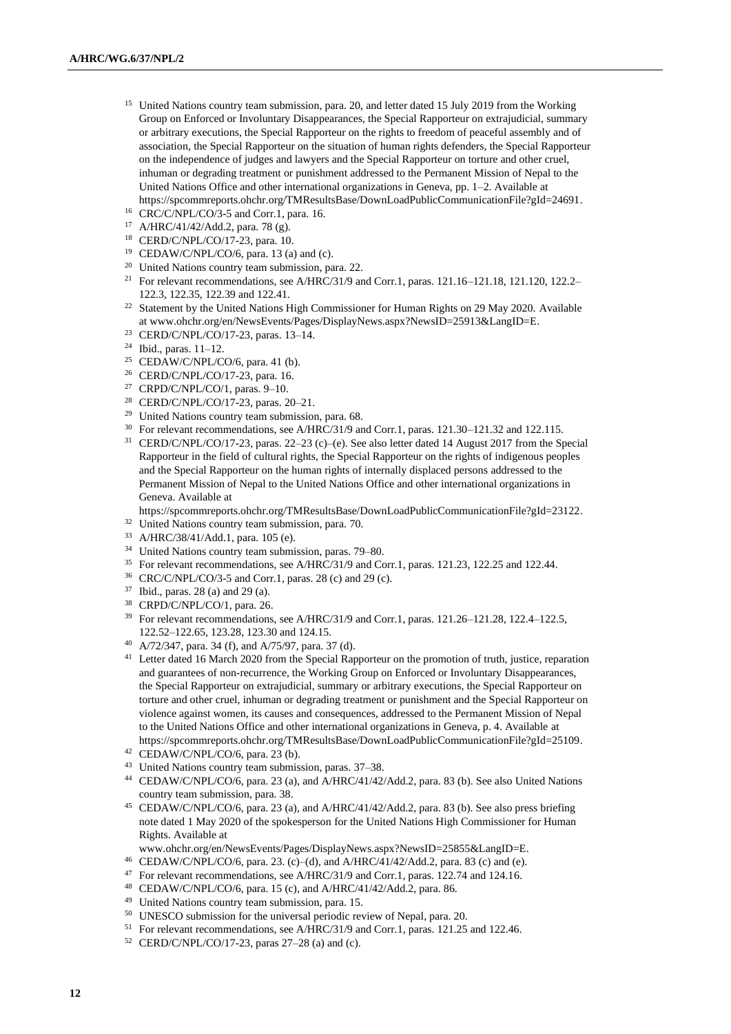- <sup>15</sup> United Nations country team submission, para. 20, and letter dated 15 July 2019 from the Working Group on Enforced or Involuntary Disappearances, the Special Rapporteur on extrajudicial, summary or arbitrary executions, the Special Rapporteur on the rights to freedom of peaceful assembly and of association, the Special Rapporteur on the situation of human rights defenders, the Special Rapporteur on the independence of judges and lawyers and the Special Rapporteur on torture and other cruel, inhuman or degrading treatment or punishment addressed to the Permanent Mission of Nepal to the United Nations Office and other international organizations in Geneva, pp. 1–2. Available at [https://spcommreports.ohchr.org/TMResultsBase/DownLoadPublicCommunicationFile?gId=24691.](https://spcommreports.ohchr.org/TMResultsBase/DownLoadPublicCommunicationFile?gId=24691)
- <sup>16</sup> CRC/C/NPL/CO/3-5 and Corr.1, para. 16.
- <sup>17</sup> A/HRC/41/42/Add.2, para. 78 (g).
- <sup>18</sup> CERD/C/NPL/CO/17-23, para. 10.
- $19$  CEDAW/C/NPL/CO/6, para. 13 (a) and (c).
- <sup>20</sup> United Nations country team submission, para. 22.
- <sup>21</sup> For relevant recommendations, see A/HRC/31/9 and Corr.1, paras. 121.16–121.18, 121.120, 122.2– 122.3, 122.35, 122.39 and 122.41.
- <sup>22</sup> Statement by the United Nations High Commissioner for Human Rights on 29 May 2020. Available [at www.ohchr.org/en/NewsEvents/Pages/DisplayNews.aspx?NewsID=25913&LangID=E.](https://unitednations-my.sharepoint.com/personal/philippa_fletcher_un_org/Documents/Documents/CURRENT%20DOX/Available%20at%20www.ohchr.org/en/NewsEvents/Pages/DisplayNews.aspx?NewsID=25913&LangID=E)
- <sup>23</sup> CERD/C/NPL/CO/17-23, paras. 13–14.
- $24$  Ibid., paras.  $11-12$ .
- <sup>25</sup> CEDAW/C/NPL/CO/6, para. 41 (b).
- <sup>26</sup> CERD/C/NPL/CO/17-23, para. 16.
- <sup>27</sup> CRPD/C/NPL/CO/1, paras. 9–10.
- <sup>28</sup> CERD/C/NPL/CO/17-23, paras. 20–21.
- <sup>29</sup> United Nations country team submission, para. 68.
- <sup>30</sup> For relevant recommendations, see A/HRC/31/9 and Corr.1, paras. 121.30–121.32 and 122.115.
- <sup>31</sup> CERD/C/NPL/CO/17-23, paras. 22–23 (c)–(e). See also letter dated 14 August 2017 from the Special Rapporteur in the field of cultural rights, the Special Rapporteur on the rights of indigenous peoples and the Special Rapporteur on the human rights of internally displaced persons addressed to the Permanent Mission of Nepal to the United Nations Office and other international organizations in Geneva. Available at

[https://spcommreports.ohchr.org/TMResultsBase/DownLoadPublicCommunicationFile?gId=23122.](https://spcommreports.ohchr.org/TMResultsBase/DownLoadPublicCommunicationFile?gId=23122)

- <sup>32</sup> United Nations country team submission, para. 70.
- <sup>33</sup> A/HRC/38/41/Add.1, para. 105 (e).
- <sup>34</sup> United Nations country team submission, paras. 79–80.
- <sup>35</sup> For relevant recommendations, see A/HRC/31/9 and Corr.1, paras. 121.23, 122.25 and 122.44.
- <sup>36</sup> CRC/C/NPL/CO/3-5 and Corr.1, paras. 28 (c) and 29 (c).
- <sup>37</sup> Ibid., paras. 28 (a) and 29 (a).
- <sup>38</sup> CRPD/C/NPL/CO/1, para. 26.
- <sup>39</sup> For relevant recommendations, see A/HRC/31/9 and Corr.1, paras. 121.26-121.28, 122.4-122.5, 122.52–122.65, 123.28, 123.30 and 124.15.
- <sup>40</sup> A/72/347, para. 34 (f), and A/75/97, para. 37 (d).
- <sup>41</sup> Letter dated 16 March 2020 from the Special Rapporteur on the promotion of truth, justice, reparation and guarantees of non-recurrence, the Working Group on Enforced or Involuntary Disappearances, the Special Rapporteur on extrajudicial, summary or arbitrary executions, the Special Rapporteur on torture and other cruel, inhuman or degrading treatment or punishment and the Special Rapporteur on violence against women, its causes and consequences, addressed to the Permanent Mission of Nepal to the United Nations Office and other international organizations in Geneva, p. 4. Available at [https://spcommreports.ohchr.org/TMResultsBase/DownLoadPublicCommunicationFile?gId=25109.](https://spcommreports.ohchr.org/TMResultsBase/DownLoadPublicCommunicationFile?gId=25109)
- <sup>42</sup> CEDAW/C/NPL/CO/6, para. 23 (b).
- <sup>43</sup> United Nations country team submission, paras. 37–38.
- <sup>44</sup> CEDAW/C/NPL/CO/6, para. 23 (a), and A/HRC/41/42/Add.2, para. 83 (b). See also United Nations country team submission, para. 38.
- <sup>45</sup> CEDAW/C/NPL/CO/6, para. 23 (a), and A/HRC/41/42/Add.2, para. 83 (b). See also press briefing note dated 1 May 2020 of the spokesperson for the United Nations High Commissioner for Human Rights. Available at
- [www.ohchr.org/en/NewsEvents/Pages/DisplayNews.aspx?NewsID=25855&LangID=E.](https://unitednations-my.sharepoint.com/personal/philippa_fletcher_un_org/Documents/Documents/CURRENT%20DOX/www.ohchr.org/en/NewsEvents/Pages/DisplayNews.aspx?NewsID=25855&LangID=E)
- <sup>46</sup> CEDAW/C/NPL/CO/6, para. 23. (c)–(d), and A/HRC/41/42/Add.2, para. 83 (c) and (e).
- <sup>47</sup> For relevant recommendations, see A/HRC/31/9 and Corr.1, paras. 122.74 and 124.16.
- <sup>48</sup> CEDAW/C/NPL/CO/6, para. 15 (c), and A/HRC/41/42/Add.2, para. 86.
- <sup>49</sup> United Nations country team submission, para. 15.
- <sup>50</sup> UNESCO submission for the universal periodic review of Nepal, para. 20.
- <sup>51</sup> For relevant recommendations, see A/HRC/31/9 and Corr.1, paras. 121.25 and 122.46.
- <sup>52</sup> CERD/C/NPL/CO/17-23, paras 27–28 (a) and (c).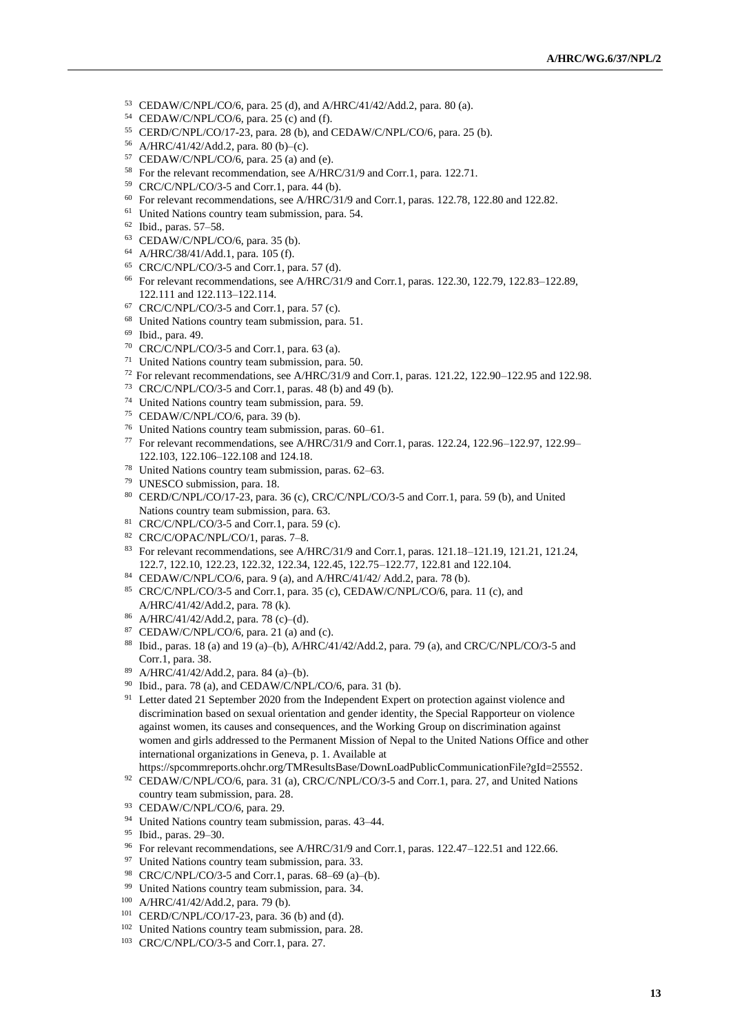- CEDAW/C/NPL/CO/6, para. 25 (d), and A/HRC/41/42/Add.2, para. 80 (a).
- CEDAW/C/NPL/CO/6, para. 25 (c) and (f).
- CERD/C/NPL/CO/17-23, para. 28 (b), and CEDAW/C/NPL/CO/6, para. 25 (b).
- A/HRC/41/42/Add.2, para. 80 (b)–(c).
- CEDAW/C/NPL/CO/6, para. 25 (a) and (e).
- For the relevant recommendation, see A/HRC/31/9 and Corr.1, para. 122.71.
- CRC/C/NPL/CO/3-5 and Corr.1, para. 44 (b).
- For relevant recommendations, see A/HRC/31/9 and Corr.1, paras. 122.78, 122.80 and 122.82.
- <sup>61</sup> United Nations country team submission, para. 54.
- Ibid., paras. 57–58.
- CEDAW/C/NPL/CO/6, para. 35 (b).
- A/HRC/38/41/Add.1, para. 105 (f).
- $^{65}$  CRC/C/NPL/CO/3-5 and Corr.1, para. 57 (d).
- For relevant recommendations, see A/HRC/31/9 and Corr.1, paras. 122.30, 122.79, 122.83–122.89, 122.111 and 122.113–122.114.
- CRC/C/NPL/CO/3-5 and Corr.1, para. 57 (c).
- United Nations country team submission, para. 51.
- Ibid., para. 49.
- CRC/C/NPL/CO/3-5 and Corr.1, para. 63 (a).
- United Nations country team submission, para. 50.
- For relevant recommendations, see A/HRC/31/9 and Corr.1, paras. 121.22, 122.90–122.95 and 122.98.
- CRC/C/NPL/CO/3-5 and Corr.1, paras. 48 (b) and 49 (b).
- United Nations country team submission, para. 59.
- CEDAW/C/NPL/CO/6, para. 39 (b).
- United Nations country team submission, paras. 60–61.
- For relevant recommendations, see A/HRC/31/9 and Corr.1, paras. 122.24, 122.96–122.97, 122.99– 122.103, 122.106–122.108 and 124.18.
- United Nations country team submission, paras. 62–63.
- UNESCO submission, para. 18.
- CERD/C/NPL/CO/17-23, para. 36 (c), CRC/C/NPL/CO/3-5 and Corr.1, para. 59 (b), and United Nations country team submission, para. 63.
- <sup>81</sup> CRC/C/NPL/CO/3-5 and Corr.1, para. 59 (c).
- CRC/C/OPAC/NPL/CO/1, paras. 7–8.
- For relevant recommendations, see A/HRC/31/9 and Corr.1, paras. 121.18–121.19, 121.21, 121.24, 122.7, 122.10, 122.23, 122.32, 122.34, 122.45, 122.75–122.77, 122.81 and 122.104.
- CEDAW/C/NPL/CO/6, para. 9 (a), and A/HRC/41/42/ Add.2, para. 78 (b).
- CRC/C/NPL/CO/3-5 and Corr.1, para. 35 (c), CEDAW/C/NPL/CO/6, para. 11 (c), and A/HRC/41/42/Add.2, para. 78 (k).
- A/HRC/41/42/Add.2, para. 78 (c)–(d).
- CEDAW/C/NPL/CO/6, para. 21 (a) and (c).
- Ibid., paras. 18 (a) and 19 (a)–(b), A/HRC/41/42/Add.2, para. 79 (a), and CRC/C/NPL/CO/3-5 and Corr.1, para. 38.
- A/HRC/41/42/Add.2, para. 84 (a)–(b).
- Ibid., para. 78 (a), and CEDAW/C/NPL/CO/6, para. 31 (b).
- <sup>91</sup> Letter dated 21 September 2020 from the Independent Expert on protection against violence and discrimination based on sexual orientation and gender identity, the Special Rapporteur on violence against women, its causes and consequences, and the Working Group on discrimination against women and girls addressed to the Permanent Mission of Nepal to the United Nations Office and other international organizations in Geneva, p. 1. Available at

[https://spcommreports.ohchr.org/TMResultsBase/DownLoadPublicCommunicationFile?gId=25552.](https://spcommreports.ohchr.org/TMResultsBase/DownLoadPublicCommunicationFile?gId=25552)

- <sup>92</sup> CEDAW/C/NPL/CO/6, para. 31 (a), CRC/C/NPL/CO/3-5 and Corr.1, para. 27, and United Nations country team submission, para. 28.
- CEDAW/C/NPL/CO/6, para. 29.
- United Nations country team submission, paras. 43–44.
- Ibid., paras. 29–30.
- <sup>96</sup> For relevant recommendations, see A/HRC/31/9 and Corr.1, paras. 122.47–122.51 and 122.66.
- <sup>97</sup> United Nations country team submission, para. 33.
- CRC/C/NPL/CO/3-5 and Corr.1, paras. 68–69 (a)–(b).
- United Nations country team submission, para. 34.
- A/HRC/41/42/Add.2, para. 79 (b).
- CERD/C/NPL/CO/17-23, para. 36 (b) and (d).
- United Nations country team submission, para. 28.
- CRC/C/NPL/CO/3-5 and Corr.1, para. 27.